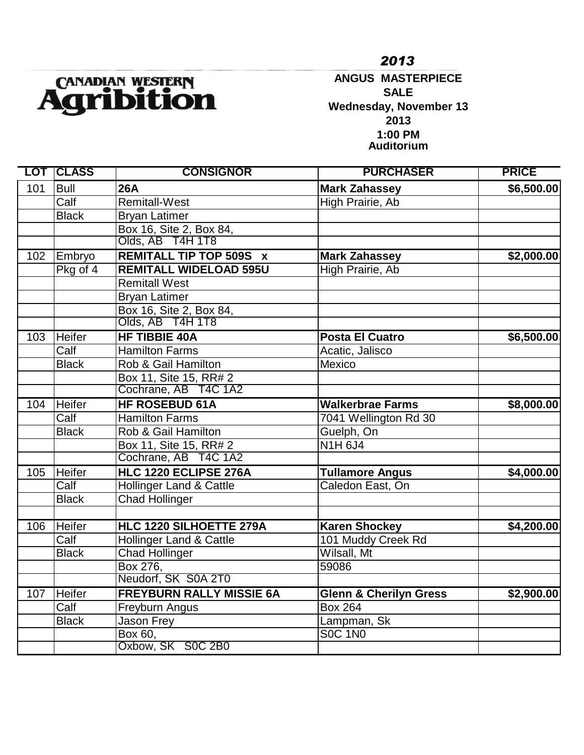

**ANGUS MASTERPIECE SALE Wednesday, November 13 2013 1:00 PM Auditorium**

|     | <b>LOT ICLASS</b> | <b>CONSIGNOR</b>                   | <b>PURCHASER</b>                  | <b>PRICE</b> |
|-----|-------------------|------------------------------------|-----------------------------------|--------------|
| 101 | <b>Bull</b>       | <b>26A</b>                         | <b>Mark Zahassey</b>              | \$6,500.00   |
|     | Calf              | <b>Remitall-West</b>               | High Prairie, Ab                  |              |
|     | <b>Black</b>      | <b>Bryan Latimer</b>               |                                   |              |
|     |                   | Box 16, Site 2, Box 84,            |                                   |              |
|     |                   | Olds, AB T4H 1T8                   |                                   |              |
| 102 | Embryo            | <b>REMITALL TIP TOP 509S X</b>     | <b>Mark Zahassey</b>              | \$2,000.00   |
|     | Pkg of 4          | <b>REMITALL WIDELOAD 595U</b>      | High Prairie, Ab                  |              |
|     |                   | <b>Remitall West</b>               |                                   |              |
|     |                   | <b>Bryan Latimer</b>               |                                   |              |
|     |                   | Box 16, Site 2, Box 84,            |                                   |              |
|     |                   | Olds, AB T4H 1T8                   |                                   |              |
| 103 | Heifer            | <b>HF TIBBIE 40A</b>               | <b>Posta El Cuatro</b>            | \$6,500.00   |
|     | Calf              | <b>Hamilton Farms</b>              | Acatic, Jalisco                   |              |
|     | <b>Black</b>      | Rob & Gail Hamilton                | Mexico                            |              |
|     |                   | Box 11, Site 15, RR# 2             |                                   |              |
|     |                   | Cochrane, AB T4C 1A2               |                                   |              |
| 104 | <b>Heifer</b>     | <b>HF ROSEBUD 61A</b>              | <b>Walkerbrae Farms</b>           | \$8,000.00   |
|     | Calf              | <b>Hamilton Farms</b>              | 7041 Wellington Rd 30             |              |
|     | <b>Black</b>      | Rob & Gail Hamilton                | Guelph, On                        |              |
|     |                   | Box 11, Site 15, RR# 2             | <b>N1H6J4</b>                     |              |
|     |                   | Cochrane, AB T4C 1A2               |                                   |              |
| 105 | <b>Heifer</b>     | HLC 1220 ECLIPSE 276A              | <b>Tullamore Angus</b>            | \$4,000.00   |
|     | Calf              | Hollinger Land & Cattle            | Caledon East, On                  |              |
|     | <b>Black</b>      | <b>Chad Hollinger</b>              |                                   |              |
|     |                   |                                    |                                   |              |
| 106 | <b>Heifer</b>     | HLC 1220 SILHOETTE 279A            | <b>Karen Shockey</b>              | \$4,200.00   |
|     | Calf              | <b>Hollinger Land &amp; Cattle</b> | 101 Muddy Creek Rd                |              |
|     | <b>Black</b>      | <b>Chad Hollinger</b>              | Wilsall, Mt                       |              |
|     |                   | Box 276,                           | 59086                             |              |
|     |                   | Neudorf, SK S0A 2T0                |                                   |              |
| 107 | <b>Heifer</b>     | <b>FREYBURN RALLY MISSIE 6A</b>    | <b>Glenn &amp; Cherilyn Gress</b> | \$2,900.00   |
|     | Calf              | Freyburn Angus                     | <b>Box 264</b>                    |              |
|     | <b>Black</b>      | Jason Frey                         | Lampman, Sk                       |              |
|     |                   | Box 60,                            | <b>SOC 1N0</b>                    |              |
|     |                   | Oxbow, SK S0C 2B0                  |                                   |              |

*2013*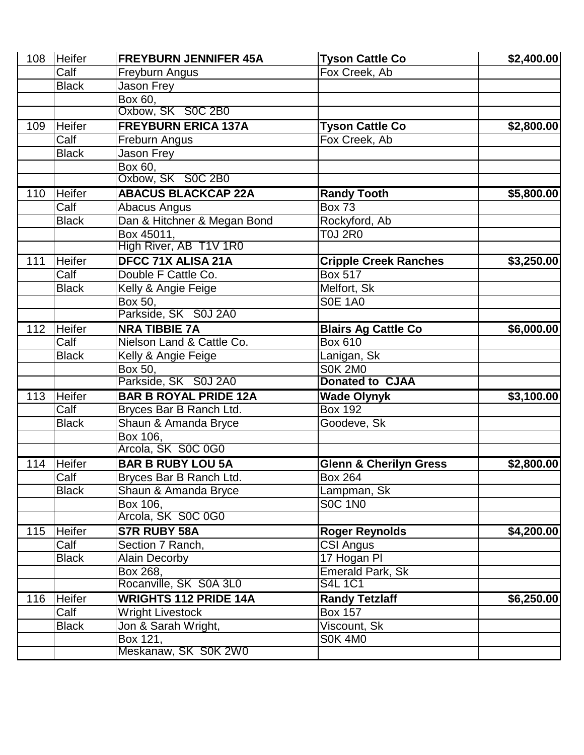|     | 108 Heifer    | <b>FREYBURN JENNIFER 45A</b> | <b>Tyson Cattle Co</b>            | \$2,400.00 |
|-----|---------------|------------------------------|-----------------------------------|------------|
|     | Calf          | Freyburn Angus               | Fox Creek, Ab                     |            |
|     | <b>Black</b>  | Jason Frey                   |                                   |            |
|     |               | Box 60,                      |                                   |            |
|     |               | Oxbow, SK S0C 2B0            |                                   |            |
| 109 | Heifer        | <b>FREYBURN ERICA 137A</b>   | <b>Tyson Cattle Co</b>            | \$2,800.00 |
|     | Calf          | Freburn Angus                | Fox Creek, Ab                     |            |
|     | <b>Black</b>  | Jason Frey                   |                                   |            |
|     |               | Box 60,                      |                                   |            |
|     |               | Oxbow, SK S0C 2B0            |                                   |            |
| 110 | <b>Heifer</b> | <b>ABACUS BLACKCAP 22A</b>   | <b>Randy Tooth</b>                | \$5,800.00 |
|     | Calf          | Abacus Angus                 | <b>Box 73</b>                     |            |
|     | <b>Black</b>  | Dan & Hitchner & Megan Bond  | Rockyford, Ab                     |            |
|     |               | Box 45011,                   | <b>T0J 2R0</b>                    |            |
|     |               | High River, AB T1V 1R0       |                                   |            |
| 111 | <b>Heifer</b> | DFCC 71X ALISA 21A           | <b>Cripple Creek Ranches</b>      | \$3,250.00 |
|     | Calf          | Double F Cattle Co.          | <b>Box 517</b>                    |            |
|     | <b>Black</b>  | Kelly & Angie Feige          | Melfort, Sk                       |            |
|     |               | Box 50,                      | <b>S0E 1A0</b>                    |            |
|     |               | Parkside, SK S0J 2A0         |                                   |            |
| 112 | Heifer        | <b>NRA TIBBIE 7A</b>         | <b>Blairs Ag Cattle Co</b>        | \$6,000.00 |
|     | Calf          | Nielson Land & Cattle Co.    | <b>Box 610</b>                    |            |
|     | <b>Black</b>  | Kelly & Angie Feige          | Lanigan, Sk                       |            |
|     |               | Box 50,                      | <b>S0K 2M0</b>                    |            |
|     |               | Parkside, SK S0J 2A0         | <b>Donated to CJAA</b>            |            |
| 113 | Heifer        | <b>BAR B ROYAL PRIDE 12A</b> | <b>Wade Olynyk</b>                | \$3,100.00 |
|     | Calf          | Bryces Bar B Ranch Ltd.      | <b>Box 192</b>                    |            |
|     | <b>Black</b>  | Shaun & Amanda Bryce         | Goodeve, Sk                       |            |
|     |               | Box 106,                     |                                   |            |
|     |               | Arcola, SK S0C 0G0           |                                   |            |
| 114 | <b>Heifer</b> | <b>BAR B RUBY LOU 5A</b>     | <b>Glenn &amp; Cherilyn Gress</b> | \$2,800.00 |
|     | Calf          | Bryces Bar B Ranch Ltd.      | <b>Box 264</b>                    |            |
|     | <b>Black</b>  | Shaun & Amanda Bryce         | Lampman, Sk                       |            |
|     |               | Box 106.                     | <b>SOC 1NO</b>                    |            |
|     |               | Arcola, SK S0C 0G0           |                                   |            |
| 115 | <b>Heifer</b> | <b>S7R RUBY 58A</b>          | <b>Roger Reynolds</b>             | \$4,200.00 |
|     | Calf          | Section 7 Ranch,             | <b>CSI Angus</b>                  |            |
|     | <b>Black</b>  | <b>Alain Decorby</b>         | 17 Hogan PI                       |            |
|     |               | Box 268,                     | Emerald Park, Sk                  |            |
|     |               | Rocanville, SK S0A 3L0       | <b>S4L 1C1</b>                    |            |
| 116 | <b>Heifer</b> | <b>WRIGHTS 112 PRIDE 14A</b> | <b>Randy Tetzlaff</b>             | \$6,250.00 |
|     | Calf          | <b>Wright Livestock</b>      | <b>Box 157</b>                    |            |
|     | <b>Black</b>  | Jon & Sarah Wright,          | Viscount, Sk                      |            |
|     |               | Box 121,                     | <b>S0K 4M0</b>                    |            |
|     |               | Meskanaw, SK S0K 2W0         |                                   |            |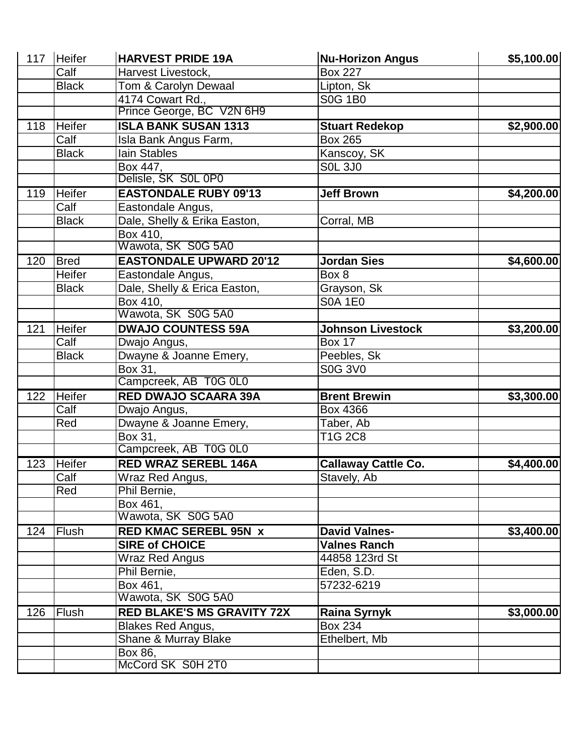| 117 | Heifer        | <b>HARVEST PRIDE 19A</b>          | <b>Nu-Horizon Angus</b>    | \$5,100.00 |
|-----|---------------|-----------------------------------|----------------------------|------------|
|     | Calf          | Harvest Livestock,                | <b>Box 227</b>             |            |
|     | <b>Black</b>  | Tom & Carolyn Dewaal              | Lipton, Sk                 |            |
|     |               | 4174 Cowart Rd.,                  | <b>S0G 1B0</b>             |            |
|     |               | Prince George, BC V2N 6H9         |                            |            |
| 118 | Heifer        | <b>ISLA BANK SUSAN 1313</b>       | <b>Stuart Redekop</b>      | \$2,900.00 |
|     | Calf          | Isla Bank Angus Farm,             | <b>Box 265</b>             |            |
|     | <b>Black</b>  | <b>lain Stables</b>               | Kanscoy, SK                |            |
|     |               | Box 447,                          | <b>SOL 3JO</b>             |            |
|     |               | Delisle, SK S0L 0P0               |                            |            |
| 119 | Heifer        | <b>EASTONDALE RUBY 09'13</b>      | <b>Jeff Brown</b>          | \$4,200.00 |
|     | Calf          | Eastondale Angus,                 |                            |            |
|     | <b>Black</b>  | Dale, Shelly & Erika Easton,      | Corral, MB                 |            |
|     |               | Box 410,                          |                            |            |
|     |               | Wawota, SK S0G 5A0                |                            |            |
| 120 | <b>Bred</b>   | <b>EASTONDALE UPWARD 20'12</b>    | <b>Jordan Sies</b>         | \$4,600.00 |
|     | Heifer        | Eastondale Angus,                 | Box 8                      |            |
|     | <b>Black</b>  | Dale, Shelly & Erica Easton,      | Grayson, Sk                |            |
|     |               | Box 410,                          | <b>S0A 1E0</b>             |            |
|     |               | Wawota, SK S0G 5A0                |                            |            |
| 121 | Heifer        | <b>DWAJO COUNTESS 59A</b>         | <b>Johnson Livestock</b>   | \$3,200.00 |
|     | Calf          | Dwajo Angus,                      | <b>Box 17</b>              |            |
|     | <b>Black</b>  | Dwayne & Joanne Emery,            | Peebles, Sk                |            |
|     |               | Box 31,                           | <b>S0G 3V0</b>             |            |
|     |               | Campcreek, AB T0G 0L0             |                            |            |
| 122 | <b>Heifer</b> | <b>RED DWAJO SCAARA 39A</b>       | <b>Brent Brewin</b>        | \$3,300.00 |
|     | Calf          | Dwajo Angus,                      | Box 4366                   |            |
|     | Red           | Dwayne & Joanne Emery,            | Taber, Ab                  |            |
|     |               | Box 31,                           | T1G 2C8                    |            |
|     |               | Campcreek, AB T0G 0L0             |                            |            |
| 123 | Heifer        | <b>RED WRAZ SEREBL 146A</b>       | <b>Callaway Cattle Co.</b> | \$4,400.00 |
|     | Calf          | Wraz Red Angus,                   | Stavely, Ab                |            |
|     | Red           | Phil Bernie,                      |                            |            |
|     |               | Box 461,                          |                            |            |
|     |               | Wawota, SK S0G 5A0                |                            |            |
| 124 | Flush         | <b>RED KMAC SEREBL 95N x</b>      | <b>David Valnes-</b>       | \$3,400.00 |
|     |               | <b>SIRE of CHOICE</b>             | <b>Valnes Ranch</b>        |            |
|     |               | <b>Wraz Red Angus</b>             | 44858 123rd St             |            |
|     |               | Phil Bernie,                      | Eden, S.D.                 |            |
|     |               | Box 461,                          | 57232-6219                 |            |
|     |               | Wawota, SK S0G 5A0                |                            |            |
| 126 | Flush         | <b>RED BLAKE'S MS GRAVITY 72X</b> | <b>Raina Syrnyk</b>        | \$3,000.00 |
|     |               | <b>Blakes Red Angus,</b>          | <b>Box 234</b>             |            |
|     |               | Shane & Murray Blake              | Ethelbert, Mb              |            |
|     |               | Box 86,                           |                            |            |
|     |               | McCord SK S0H 2T0                 |                            |            |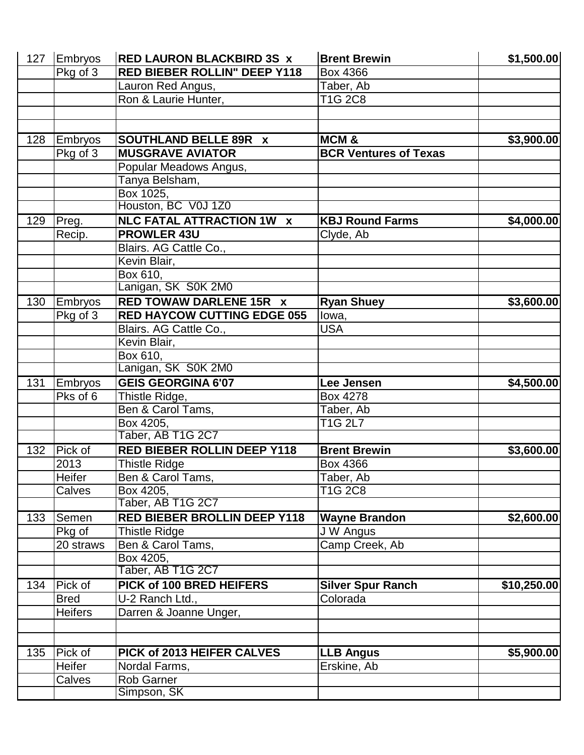| 127 | Embryos        | <b>RED LAURON BLACKBIRD 3S x</b>    | <b>Brent Brewin</b>          | \$1,500.00  |
|-----|----------------|-------------------------------------|------------------------------|-------------|
|     | $Pkg$ of 3     | <b>RED BIEBER ROLLIN" DEEP Y118</b> | Box 4366                     |             |
|     |                | Lauron Red Angus,                   | Taber, Ab                    |             |
|     |                | Ron & Laurie Hunter,                | T1G 2C8                      |             |
|     |                |                                     |                              |             |
|     |                |                                     |                              |             |
| 128 | Embryos        | <b>SOUTHLAND BELLE 89R X</b>        | <b>MCM&amp;</b>              | \$3,900.00  |
|     | Pkg of 3       | <b>MUSGRAVE AVIATOR</b>             | <b>BCR Ventures of Texas</b> |             |
|     |                | Popular Meadows Angus,              |                              |             |
|     |                | Tanya Belsham,                      |                              |             |
|     |                | Box 1025,                           |                              |             |
|     |                | Houston, BC V0J 1Z0                 |                              |             |
| 129 | Preg.          | <b>NLC FATAL ATTRACTION 1W X</b>    | <b>KBJ Round Farms</b>       | \$4,000.00  |
|     | Recip.         | <b>PROWLER 43U</b>                  | Clyde, Ab                    |             |
|     |                | Blairs. AG Cattle Co.,              |                              |             |
|     |                | Kevin Blair,                        |                              |             |
|     |                | Box 610,                            |                              |             |
|     |                | Lanigan, SK S0K 2M0                 |                              |             |
| 130 | <b>Embryos</b> | <b>RED TOWAW DARLENE 15R X</b>      | <b>Ryan Shuey</b>            | \$3,600.00  |
|     | Pkg of 3       | <b>RED HAYCOW CUTTING EDGE 055</b>  | lowa,                        |             |
|     |                | Blairs. AG Cattle Co.,              | <b>USA</b>                   |             |
|     |                | Kevin Blair,                        |                              |             |
|     |                | Box 610,                            |                              |             |
|     |                | Lanigan, SK S0K 2M0                 |                              |             |
| 131 | Embryos        | <b>GEIS GEORGINA 6'07</b>           | Lee Jensen                   | \$4,500.00  |
|     | Pks of 6       | Thistle Ridge,                      | Box 4278                     |             |
|     |                | Ben & Carol Tams,                   | Taber, Ab                    |             |
|     |                | Box 4205,                           | T1G 2L7                      |             |
|     |                | Taber, AB T1G 2C7                   |                              |             |
| 132 | Pick of        | <b>RED BIEBER ROLLIN DEEP Y118</b>  | <b>Brent Brewin</b>          | \$3,600.00  |
|     | 2013           | <b>Thistle Ridge</b>                | Box 4366                     |             |
|     | Heifer         | Ben & Carol Tams,                   | Taber, Ab                    |             |
|     | Calves         | Box 4205,                           | T1G 2C8                      |             |
|     |                | Taber, AB T1G 2C7                   |                              |             |
| 133 | Semen          | <b>RED BIEBER BROLLIN DEEP Y118</b> | <b>Wayne Brandon</b>         | \$2,600.00  |
|     | Pkg of         | <b>Thistle Ridge</b>                | J W Angus                    |             |
|     | 20 straws      | Ben & Carol Tams,                   | Camp Creek, Ab               |             |
|     |                | Box 4205,                           |                              |             |
|     |                | Taber, AB T1G 2C7                   |                              |             |
| 134 | Pick of        | PICK of 100 BRED HEIFERS            | <b>Silver Spur Ranch</b>     | \$10,250.00 |
|     | <b>Bred</b>    | U-2 Ranch Ltd.,                     | Colorada                     |             |
|     | <b>Heifers</b> | Darren & Joanne Unger,              |                              |             |
|     |                |                                     |                              |             |
|     |                |                                     |                              |             |
| 135 | Pick of        | PICK of 2013 HEIFER CALVES          | <b>LLB Angus</b>             | \$5,900.00  |
|     | Heifer         | Nordal Farms,                       | Erskine, Ab                  |             |
|     | Calves         | <b>Rob Garner</b>                   |                              |             |
|     |                | Simpson, SK                         |                              |             |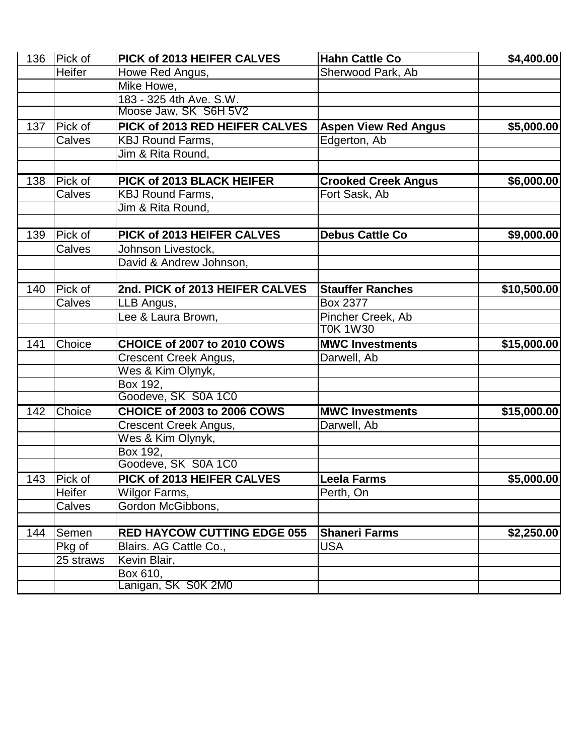|     | 136 Pick of | PICK of 2013 HEIFER CALVES         | <b>Hahn Cattle Co</b>                | \$4,400.00  |
|-----|-------------|------------------------------------|--------------------------------------|-------------|
|     | Heifer      | Howe Red Angus,                    | Sherwood Park, Ab                    |             |
|     |             | Mike Howe,                         |                                      |             |
|     |             | 183 - 325 4th Ave. S.W.            |                                      |             |
|     |             | Moose Jaw, SK S6H 5V2              |                                      |             |
| 137 | Pick of     | PICK of 2013 RED HEIFER CALVES     | <b>Aspen View Red Angus</b>          | \$5,000.00  |
|     | Calves      | <b>KBJ Round Farms,</b>            | Edgerton, Ab                         |             |
|     |             | Jim & Rita Round,                  |                                      |             |
|     |             |                                    |                                      |             |
| 138 | Pick of     | PICK of 2013 BLACK HEIFER          | <b>Crooked Creek Angus</b>           | \$6,000.00  |
|     | Calves      | <b>KBJ Round Farms,</b>            | Fort Sask, Ab                        |             |
|     |             | Jim & Rita Round,                  |                                      |             |
|     |             |                                    |                                      |             |
| 139 | Pick of     | PICK of 2013 HEIFER CALVES         | <b>Debus Cattle Co</b>               | \$9,000.00  |
|     | Calves      | Johnson Livestock,                 |                                      |             |
|     |             | David & Andrew Johnson,            |                                      |             |
|     |             |                                    |                                      |             |
| 140 | Pick of     | 2nd. PICK of 2013 HEIFER CALVES    | <b>Stauffer Ranches</b>              | \$10,500.00 |
|     | Calves      | LLB Angus,                         | Box 2377                             |             |
|     |             | Lee & Laura Brown,                 | Pincher Creek, Ab<br><b>T0K 1W30</b> |             |
| 141 | Choice      | CHOICE of 2007 to 2010 COWS        | <b>MWC Investments</b>               | \$15,000.00 |
|     |             | Crescent Creek Angus,              | Darwell, Ab                          |             |
|     |             | Wes & Kim Olynyk,                  |                                      |             |
|     |             | Box 192,                           |                                      |             |
|     |             | Goodeve, SK S0A 1C0                |                                      |             |
| 142 | Choice      | CHOICE of 2003 to 2006 COWS        | <b>MWC Investments</b>               | \$15,000.00 |
|     |             | Crescent Creek Angus,              | Darwell, Ab                          |             |
|     |             | Wes & Kim Olynyk,                  |                                      |             |
|     |             | Box 192,                           |                                      |             |
|     |             | Goodeve, SK S0A 1C0                |                                      |             |
|     | 143 Pick of | PICK of 2013 HEIFER CALVES         | <b>Leela Farms</b>                   | \$5,000.00  |
|     | Heifer      | Wilgor Farms,                      | Perth, On                            |             |
|     | Calves      | Gordon McGibbons,                  |                                      |             |
|     |             |                                    |                                      |             |
| 144 | Semen       | <b>RED HAYCOW CUTTING EDGE 055</b> | <b>Shaneri Farms</b>                 | \$2,250.00  |
|     | Pkg of      | Blairs. AG Cattle Co.,             | <b>USA</b>                           |             |
|     | 25 straws   | Kevin Blair,                       |                                      |             |
|     |             | Box 610,                           |                                      |             |
|     |             | Lanigan, SK S0K 2M0                |                                      |             |